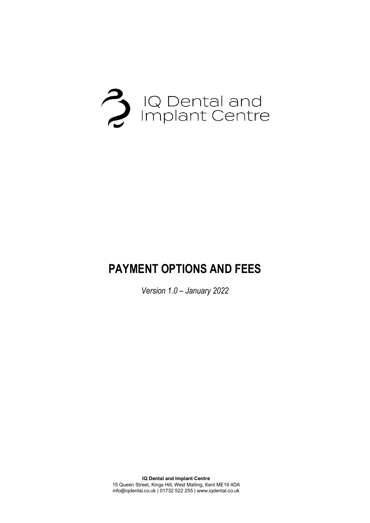

# **PAYMENT OPTIONS AND FEES**

*Version 1.0 – January 2022*

**IQ Dental and Implant Centre** 15 Queen Street, Kings Hill, West Malling, Kent ME19 4DA info@iqdental.co.uk | 01732 522 255 | www.iqdental.co.uk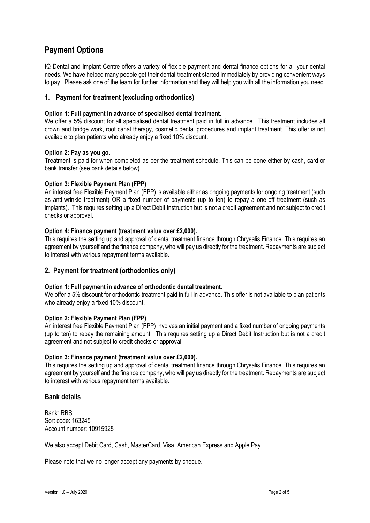### **Payment Options**

IQ Dental and Implant Centre offers a variety of flexible payment and dental finance options for all your dental needs. We have helped many people get their dental treatment started immediately by providing convenient ways to pay. Please ask one of the team for further information and they will help you with all the information you need.

#### **1. Payment for treatment (excluding orthodontics)**

#### **Option 1: Full payment in advance of specialised dental treatment.**

We offer a 5% discount for all specialised dental treatment paid in full in advance. This treatment includes all crown and bridge work, root canal therapy, cosmetic dental procedures and implant treatment. This offer is not available to plan patients who already enjoy a fixed 10% discount.

#### **Option 2: Pay as you go.**

Treatment is paid for when completed as per the treatment schedule. This can be done either by cash, card or bank transfer (see bank details below).

#### **Option 3: Flexible Payment Plan (FPP)**

An interest free Flexible Payment Plan (FPP) is available either as ongoing payments for ongoing treatment (such as anti-wrinkle treatment) OR a fixed number of payments (up to ten) to repay a one-off treatment (such as implants). This requires setting up a Direct Debit Instruction but is not a credit agreement and not subject to credit checks or approval.

#### **Option 4: Finance payment (treatment value over £2,000).**

This requires the setting up and approval of dental treatment finance through Chrysalis Finance. This requires an agreement by yourself and the finance company, who will pay us directly for the treatment. Repayments are subject to interest with various repayment terms available.

#### **2. Payment for treatment (orthodontics only)**

#### **Option 1: Full payment in advance of orthodontic dental treatment.**

We offer a 5% discount for orthodontic treatment paid in full in advance. This offer is not available to plan patients who already enjoy a fixed 10% discount.

#### **Option 2: Flexible Payment Plan (FPP)**

An interest free Flexible Payment Plan (FPP) involves an initial payment and a fixed number of ongoing payments (up to ten) to repay the remaining amount. This requires setting up a Direct Debit Instruction but is not a credit agreement and not subject to credit checks or approval.

#### **Option 3: Finance payment (treatment value over £2,000).**

This requires the setting up and approval of dental treatment finance through Chrysalis Finance. This requires an agreement by yourself and the finance company, who will pay us directly for the treatment. Repayments are subject to interest with various repayment terms available.

#### **Bank details**

Bank: RBS Sort code: 163245 Account number: 10915925

We also accept Debit Card, Cash, MasterCard, Visa, American Express and Apple Pay.

Please note that we no longer accept any payments by cheque.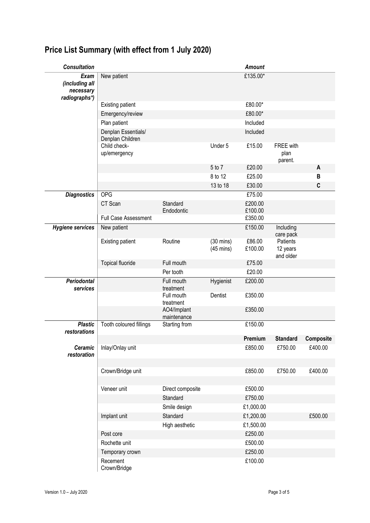| <b>Consultation</b>                                  |                                         |                                         |                                            | <b>Amount</b>      |                                   |                  |
|------------------------------------------------------|-----------------------------------------|-----------------------------------------|--------------------------------------------|--------------------|-----------------------------------|------------------|
| Exam<br>(including all<br>necessary<br>radiographs*) | New patient                             |                                         |                                            | £135.00*           |                                   |                  |
|                                                      | <b>Existing patient</b>                 |                                         |                                            | £80.00*            |                                   |                  |
|                                                      | Emergency/review                        |                                         |                                            | £80.00*            |                                   |                  |
|                                                      | Plan patient                            |                                         |                                            | Included           |                                   |                  |
|                                                      | Denplan Essentials/<br>Denplan Children |                                         |                                            | Included           |                                   |                  |
|                                                      | Child check-<br>up/emergency            |                                         | Under 5                                    | £15.00             | FREE with<br>plan<br>parent.      |                  |
|                                                      |                                         |                                         | 5 to 7                                     | £20.00             |                                   | A                |
|                                                      |                                         |                                         | 8 to 12                                    | £25.00             |                                   | B                |
|                                                      |                                         |                                         | 13 to 18                                   | £30.00             |                                   | $\mathbf{C}$     |
| <b>Diagnostics</b>                                   | OPG                                     |                                         |                                            | £75.00             |                                   |                  |
|                                                      | CT Scan                                 | Standard                                |                                            | £200.00            |                                   |                  |
|                                                      | <b>Full Case Assessment</b>             | Endodontic                              |                                            | £100.00<br>£350.00 |                                   |                  |
| <b>Hygiene services</b>                              | New patient                             |                                         |                                            | £150.00            | Including                         |                  |
|                                                      |                                         |                                         |                                            |                    | care pack                         |                  |
|                                                      | <b>Existing patient</b>                 | Routine                                 | $(30 \text{ mins})$<br>$(45 \text{ mins})$ | £86.00<br>£100.00  | Patients<br>12 years<br>and older |                  |
|                                                      | <b>Topical fluoride</b>                 | Full mouth                              |                                            | £75.00             |                                   |                  |
|                                                      |                                         | Per tooth                               |                                            | £20.00             |                                   |                  |
| <b>Periodontal</b>                                   |                                         | Full mouth                              | Hygienist                                  | £200.00            |                                   |                  |
| services                                             |                                         | treatment<br>Full mouth                 | Dentist                                    | £350.00            |                                   |                  |
|                                                      |                                         | treatment<br>AO4/Implant<br>maintenance |                                            | £350.00            |                                   |                  |
| <b>Plastic</b>                                       | Tooth coloured fillings                 | Starting from                           |                                            | £150.00            |                                   |                  |
| restorations                                         |                                         |                                         |                                            |                    |                                   |                  |
|                                                      |                                         |                                         |                                            | Premium            | <b>Standard</b>                   | <b>Composite</b> |
| Ceramic<br>restoration                               | Inlay/Onlay unit                        |                                         |                                            | £850.00            | £750.00                           | £400.00          |
|                                                      | Crown/Bridge unit                       |                                         |                                            | £850.00            | £750.00                           | £400.00          |
|                                                      |                                         |                                         |                                            |                    |                                   |                  |
|                                                      | Veneer unit                             | Direct composite                        |                                            | £500.00            |                                   |                  |
|                                                      |                                         | Standard                                |                                            | £750.00            |                                   |                  |
|                                                      |                                         | Smile design                            |                                            | £1,000.00          |                                   |                  |
|                                                      | Implant unit                            | Standard                                |                                            | £1,200.00          |                                   | £500.00          |
|                                                      |                                         | High aesthetic                          |                                            | £1,500.00          |                                   |                  |
|                                                      | Post core                               |                                         |                                            | £250.00            |                                   |                  |
|                                                      | Rochette unit                           |                                         |                                            | £500.00            |                                   |                  |
|                                                      | Temporary crown                         |                                         |                                            | £250.00            |                                   |                  |
|                                                      | Recement<br>Crown/Bridge                |                                         |                                            | £100.00            |                                   |                  |

## **Price List Summary (with effect from 1 July 2020)**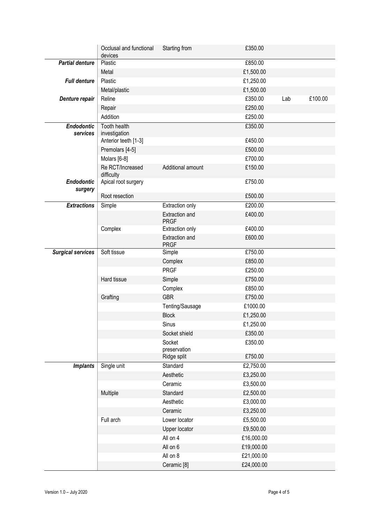|                          | Occlusal and functional<br>devices | Starting from                        | £350.00    |     |         |
|--------------------------|------------------------------------|--------------------------------------|------------|-----|---------|
| <b>Partial denture</b>   | Plastic                            |                                      | £850.00    |     |         |
|                          | Metal                              |                                      | £1,500.00  |     |         |
| <b>Full denture</b>      | Plastic                            |                                      | £1,250.00  |     |         |
|                          | Metal/plastic                      |                                      | £1,500.00  |     |         |
| Denture repair           | Reline                             |                                      | £350.00    | Lab | £100.00 |
|                          | Repair                             |                                      | £250.00    |     |         |
|                          | Addition                           |                                      | £250.00    |     |         |
| <b>Endodontic</b>        | Tooth health                       |                                      | £350.00    |     |         |
| services                 | investigation                      |                                      |            |     |         |
|                          | Anterior teeth [1-3]               |                                      | £450.00    |     |         |
|                          | Premolars [4-5]                    |                                      | £500.00    |     |         |
|                          | Molars [6-8]                       |                                      | £700.00    |     |         |
|                          | Re RCT/Increased<br>difficulty     | Additional amount                    | £150.00    |     |         |
| <b>Endodontic</b>        | Apical root surgery                |                                      | £750.00    |     |         |
| surgery                  |                                    |                                      |            |     |         |
|                          | Root resection                     |                                      | £500.00    |     |         |
| <b>Extractions</b>       | Simple                             | <b>Extraction only</b>               | E200.00    |     |         |
|                          |                                    | <b>Extraction and</b><br><b>PRGF</b> | £400.00    |     |         |
|                          | Complex                            | Extraction only                      | £400.00    |     |         |
|                          |                                    | Extraction and<br><b>PRGF</b>        | £600.00    |     |         |
| <b>Surgical services</b> | Soft tissue                        | Simple                               | £750.00    |     |         |
|                          |                                    | Complex                              | £850.00    |     |         |
|                          |                                    | <b>PRGF</b>                          | £250.00    |     |         |
|                          | Hard tissue                        | Simple                               | £750.00    |     |         |
|                          |                                    | Complex                              | £850.00    |     |         |
|                          | Grafting                           | <b>GBR</b>                           | £750.00    |     |         |
|                          |                                    | Tenting/Sausage                      | £1000.00   |     |         |
|                          |                                    | <b>Block</b>                         | £1,250.00  |     |         |
|                          |                                    | Sinus                                | £1,250.00  |     |         |
|                          |                                    | Socket shield                        | £350.00    |     |         |
|                          |                                    | Socket                               | £350.00    |     |         |
|                          |                                    | preservation                         |            |     |         |
|                          |                                    | Ridge split                          | £750.00    |     |         |
| <b>Implants</b>          | Single unit                        | Standard                             | £2,750.00  |     |         |
|                          |                                    | Aesthetic                            | £3,250.00  |     |         |
|                          |                                    | Ceramic                              | £3,500.00  |     |         |
|                          | Multiple                           | Standard                             | £2,500.00  |     |         |
|                          |                                    | Aesthetic                            | £3,000.00  |     |         |
|                          |                                    | Ceramic                              | £3,250.00  |     |         |
|                          | Full arch                          | Lower locator                        | £5,500.00  |     |         |
|                          |                                    | Upper locator                        | £9,500.00  |     |         |
|                          |                                    | All on 4                             | £16,000.00 |     |         |
|                          |                                    | All on 6                             | £19,000.00 |     |         |
|                          |                                    | All on 8                             | £21,000.00 |     |         |
|                          |                                    | Ceramic <sup>[8]</sup>               | £24,000.00 |     |         |